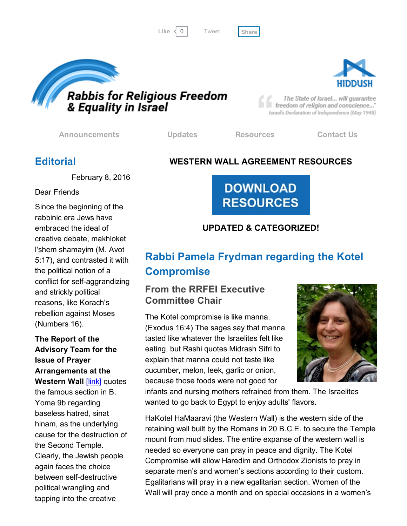```
Tweet
```




The State of Israel... will guarantee freedom of religion and conscience..." Israel's Declaration of Independence (May 1948)

[Announcements](http://cts.vresp.com/c/?FreedomofReligionfor/ba1a5959f5/325ceb4427/fa6057bd46) [Updates](http://cts.vresp.com/c/?FreedomofReligionfor/ba1a5959f5/325ceb4427/0a4da669fb) [Resources](http://cts.vresp.com/c/?FreedomofReligionfor/ba1a5959f5/325ceb4427/4acb97e9ef) [Contact](http://cts.vresp.com/c/?FreedomofReligionfor/ba1a5959f5/325ceb4427/33a1e669bf) Us

## **Editorial**

## WESTERN WALL AGREEMENT RESOURCES

February 8, 2016

Dear Friends

Since the beginning of the rabbinic era Jews have embraced the ideal of creative debate, makhloket l'shem shamayim (M. Avot 5:17), and contrasted it with the political notion of a conflict for self-aggrandizing and strickly political reasons, like Korach's rebellion against Moses (Numbers 16).

#### The Report of the Advisory Team for the Issue of Prayer Arrangements at the Western Wall [\[link\]](http://cts.vresp.com/c/?FreedomofReligionfor/ba1a5959f5/325ceb4427/6ad5883372) quotes

the famous section in B. Yoma 9b regarding baseless hatred, sinat hinam, as the underlying cause for the destruction of the Second Temple. Clearly, the Jewish people again faces the choice between self-destructive political wrangling and tapping into the creative

# **RESOURCES**

**DOWNLOAD** 

## UPDATED & CATEGORIZED!

# Rabbi Pamela Frydman regarding the Kotel **Compromise**

## From the RRFEI Executive Committee Chair

The Kotel compromise is like manna. (Exodus 16:4) The sages say that manna tasted like whatever the Israelites felt like eating, but Rashi quotes Midrash Sifri to explain that manna could not taste like cucumber, melon, leek, garlic or onion, because those foods were not good for



infants and nursing mothers refrained from them. The Israelites wanted to go back to Egypt to enjoy adults' flavors.

HaKotel HaMaaravi (the Western Wall) is the western side of the retaining wall built by the Romans in 20 B.C.E. to secure the Temple mount from mud slides. The entire expanse of the western wall is needed so everyone can pray in peace and dignity. The Kotel Compromise will allow Haredim and Orthodox Zionists to pray in separate men's and women's sections according to their custom. Egalitarians will pray in a new egalitarian section. Women of the Wall will pray once a month and on special occasions in a women's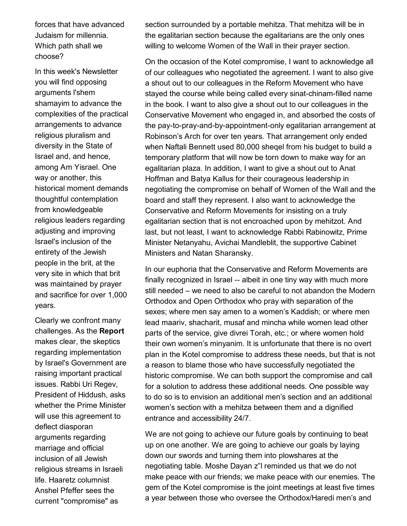forces that have advanced Judaism for millennia. Which path shall we choose?

In this week's Newsletter you will find opposing arguments l'shem shamayim to advance the complexities of the practical arrangements to advance religious pluralism and diversity in the State of Israel and, and hence, among Am Yisrael. One way or another, this historical moment demands thoughtful contemplation from knowledgeable religious leaders regarding adjusting and improving Israel's inclusion of the entirety of the Jewish people in the brit, at the very site in which that brit was maintained by prayer and sacrifice for over 1,000 years.

Clearly we confront many challenges. As the Report makes clear, the skeptics regarding implementation by Israel's Government are raising important practical issues. Rabbi Uri Regev, President of Hiddush, asks whether the Prime Minister will use this agreement to deflect diasporan arguments regarding marriage and official inclusion of all Jewish religious streams in Israeli life. Haaretz columnist Anshel Pfeffer sees the current "compromise" as

section surrounded by a portable mehitza. That mehitza will be in the egalitarian section because the egalitarians are the only ones willing to welcome Women of the Wall in their prayer section.

On the occasion of the Kotel compromise, I want to acknowledge all of our colleagues who negotiated the agreement. I want to also give a shout out to our colleagues in the Reform Movement who have stayed the course while being called every sinat-chinam-filled name in the book. I want to also give a shout out to our colleagues in the Conservative Movement who engaged in, and absorbed the costs of the pay-to-pray-and-by-appointment-only egalitarian arrangement at Robinson's Arch for over ten years. That arrangement only ended when Naftali Bennett used 80,000 sheqel from his budget to build a temporary platform that will now be torn down to make way for an egalitarian plaza. In addition, I want to give a shout out to Anat Hoffman and Batya Kallus for their courageous leadership in negotiating the compromise on behalf of Women of the Wall and the board and staff they represent. I also want to acknowledge the Conservative and Reform Movements for insisting on a truly egalitarian section that is not encroached upon by mehitzot. And last, but not least, I want to acknowledge Rabbi Rabinowitz, Prime Minister Netanyahu, Avichai Mandleblit, the supportive Cabinet Ministers and Natan Sharansky.

In our euphoria that the Conservative and Reform Movements are finally recognized in Israel -- albeit in one tiny way with much more still needed – we need to also be careful to not abandon the Modern Orthodox and Open Orthodox who pray with separation of the sexes; where men say amen to a women's Kaddish; or where men lead maariv, shacharit, musaf and mincha while women lead other parts of the service, give divrei Torah, etc.; or where women hold their own women's minyanim. It is unfortunate that there is no overt plan in the Kotel compromise to address these needs, but that is not a reason to blame those who have successfully negotiated the historic compromise. We can both support the compromise and call for a solution to address these additional needs. One possible way to do so is to envision an additional men's section and an additional women's section with a mehitza between them and a dignified entrance and accessibility 24/7.

We are not going to achieve our future goals by continuing to beat up on one another. We are going to achieve our goals by laying down our swords and turning them into plowshares at the negotiating table. Moshe Dayan z"l reminded us that we do not make peace with our friends; we make peace with our enemies. The gem of the Kotel compromise is the joint meetings at least five times a year between those who oversee the Orthodox/Haredi men's and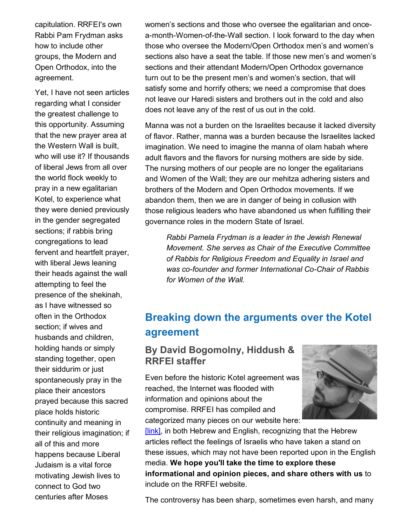capitulation. RRFEI's own Rabbi Pam Frydman asks how to include other groups, the Modern and Open Orthodox, into the agreement.

Yet, I have not seen articles regarding what I consider the greatest challenge to this opportunity. Assuming that the new prayer area at the Western Wall is built, who will use it? If thousands of liberal Jews from all over the world flock weekly to pray in a new egalitarian Kotel, to experience what they were denied previously in the gender segregated sections; if rabbis bring congregations to lead fervent and heartfelt prayer, with liberal Jews leaning their heads against the wall attempting to feel the presence of the shekinah, as I have witnessed so often in the Orthodox section; if wives and husbands and children, holding hands or simply standing together, open their siddurim or just spontaneously pray in the place their ancestors prayed because this sacred place holds historic continuity and meaning in their religious imagination; if all of this and more happens because Liberal Judaism is a vital force motivating Jewish lives to connect to God two centuries after Moses

women's sections and those who oversee the egalitarian and oncea-month-Women-of-the-Wall section. I look forward to the day when those who oversee the Modern/Open Orthodox men's and women's sections also have a seat the table. If those new men's and women's sections and their attendant Modern/Open Orthodox governance turn out to be the present men's and women's section, that will satisfy some and horrify others; we need a compromise that does not leave our Haredi sisters and brothers out in the cold and also does not leave any of the rest of us out in the cold.

Manna was not a burden on the Israelites because it lacked diversity of flavor. Rather, manna was a burden because the Israelites lacked imagination. We need to imagine the manna of olam habah where adult flavors and the flavors for nursing mothers are side by side. The nursing mothers of our people are no longer the egalitarians and Women of the Wall; they are our mehitza adhering sisters and brothers of the Modern and Open Orthodox movements. If we abandon them, then we are in danger of being in collusion with those religious leaders who have abandoned us when fulfilling their governance roles in the modern State of Israel.

*Rabbi Pamela Frydman is a leader in the Jewish Renewal Movement. She serves as Chair of the Executive Committee of Rabbis for Religious Freedom and Equality in Israel and was cofounder and former International CoChair of Rabbis for Women of the Wall.*

## Breaking down the arguments over the Kotel agreement

## By David Bogomolny, Hiddush & RRFEI staffer

Even before the historic Kotel agreement was reached, the Internet was flooded with information and opinions about the compromise. RRFEI has compiled and categorized many pieces on our website here:



**[link]**, in both Hebrew and English, recognizing that the Hebrew articles reflect the feelings of Israelis who have taken a stand on these issues, which may not have been reported upon in the English media. We hope you'll take the time to explore these informational and opinion pieces, and share others with us to include on the RRFEI website.

The controversy has been sharp, sometimes even harsh, and many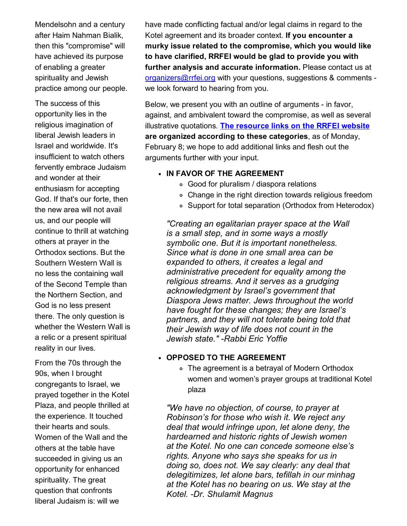Mendelsohn and a century after Haim Nahman Bialik, then this "compromise" will have achieved its purpose of enabling a greater spirituality and Jewish practice among our people.

The success of this opportunity lies in the religious imagination of liberal Jewish leaders in Israel and worldwide. It's insufficient to watch others fervently embrace Judaism and wonder at their enthusiasm for accepting God. If that's our forte, then the new area will not avail us, and our people will continue to thrill at watching others at prayer in the Orthodox sections. But the Southern Western Wall is no less the containing wall of the Second Temple than the Northern Section, and God is no less present there. The only question is whether the Western Wall is a relic or a present spiritual reality in our lives.

From the 70s through the 90s, when I brought congregants to Israel, we prayed together in the Kotel Plaza, and people thrilled at the experience. It touched their hearts and souls. Women of the Wall and the others at the table have succeeded in giving us an opportunity for enhanced spirituality. The great question that confronts liberal Judaism is: will we

have made conflicting factual and/or legal claims in regard to the Kotel agreement and its broader context. If you encounter a murky issue related to the compromise, which you would like to have clarified, RRFEI would be glad to provide you with further analysis and accurate information. Please contact us at [organizers@rrfei.org](mailto:organizers@rrfei.org) with your questions, suggestions & comments we look forward to hearing from you.

Below, we present you with an outline of arguments - in favor, against, and ambivalent toward the compromise, as well as several illustrative quotations. The [resource](http://cts.vresp.com/c/?FreedomofReligionfor/ba1a5959f5/325ceb4427/bdb0d8fe78) links on the RRFEI website are organized according to these categories, as of Monday, February 8; we hope to add additional links and flesh out the arguments further with your input.

#### • IN FAVOR OF THE AGREEMENT

- Good for pluralism / diaspora relations
- Change in the right direction towards religious freedom
- Support for total separation (Orthodox from Heterodox)

*"Creating an egalitarian prayer space at the Wall is a small step, and in some ways a mostly symbolic one. But it is important nonetheless. Since what is done in one small area can be expanded to others, it creates a legal and administrative precedent for equality among the religious streams. And it serves as a grudging acknowledgment by Israel's government that Diaspora Jews matter. Jews throughout the world have fought for these changes; they are Israel's partners, and they will not tolerate being told that their Jewish way of life does not count in the Jewish state." Rabbi Eric Yoffie*

#### OPPOSED TO THE AGREEMENT

The agreement is a betrayal of Modern Orthodox women and women's prayer groups at traditional Kotel plaza

*"We have no objection, of course, to prayer at Robinson's for those who wish it. We reject any deal that would infringe upon, let alone deny, the hardearned and historic rights of Jewish women at the Kotel. No one can concede someone else's rights. Anyone who says she speaks for us in doing so, does not. We say clearly: any deal that delegitimizes, let alone bars, tefillah in our minhag at the Kotel has no bearing on us. We stay at the Kotel. Dr. Shulamit Magnus*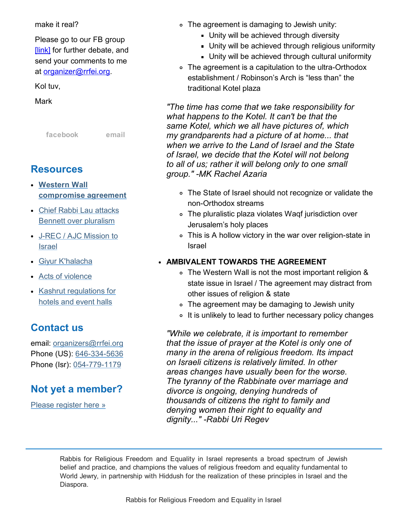#### make it real?

Please go to our FB group [\[link\]](http://cts.vresp.com/c/?FreedomofReligionfor/ba1a5959f5/325ceb4427/1536ac2b71) for further debate, and send your comments to me at [organizer@rrfei.org.](mailto:organizers@rrfei.org)

#### Kol tuv,

Mark

[facebook](http://cts.vresp.com/c/?FreedomofReligionfor/ba1a5959f5/325ceb4427/e54bbbe22b) [email](mailto:organizers@rrfei.org)

## Resources

- Western Wall [compromise](http://cts.vresp.com/c/?FreedomofReligionfor/ba1a5959f5/325ceb4427/0450b4e6eb) agreement
- Chief Rabbi Lau attacks Bennett over [pluralism](http://cts.vresp.com/c/?FreedomofReligionfor/ba1a5959f5/325ceb4427/6b4ecd77e9)
- J-REC / AJC [Mission](http://cts.vresp.com/c/?FreedomofReligionfor/ba1a5959f5/325ceb4427/94c07e4058) to Israel
- Giyur [K'halacha](http://cts.vresp.com/c/?FreedomofReligionfor/ba1a5959f5/325ceb4427/813282731a)
- Acts of [violence](http://cts.vresp.com/c/?FreedomofReligionfor/ba1a5959f5/325ceb4427/db607d3fca)
- Kashrut [regulations](http://cts.vresp.com/c/?FreedomofReligionfor/ba1a5959f5/325ceb4427/337e9f446c) for hotels and event halls

## Contact us

email: [organizers@rrfei.org](mailto:organizers@rrfei.org) Phone (US): 646-334-5636 Phone (Isr): 054-779-1179

## Not yet a member?

Please [register](http://cts.vresp.com/c/?FreedomofReligionfor/ba1a5959f5/325ceb4427/a0d1a2a214) here »

- The agreement is damaging to Jewish unity:
	- **Unity will be achieved through diversity**
	- Unity will be achieved through religious uniformity
	- Unity will be achieved through cultural uniformity
- The agreement is a capitulation to the ultra-Orthodox establishment / Robinson's Arch is "less than" the traditional Kotel plaza

*"The time has come that we take responsibility for what happens to the Kotel. It can't be that the same Kotel, which we all have pictures of, which my grandparents had a picture of at home... that when we arrive to the Land of Israel and the State of Israel, we decide that the Kotel will not belong to all of us; rather it will belong only to one small group." MK Rachel Azaria*

- The State of Israel should not recognize or validate the non-Orthodox streams
- The pluralistic plaza violates Waqf jurisdiction over Jerusalem's holy places
- This is A hollow victory in the war over religion-state in Israel

#### AMBIVALENT TOWARDS THE AGREEMENT

- The Western Wall is not the most important religion & state issue in Israel / The agreement may distract from other issues of religion & state
- The agreement may be damaging to Jewish unity
- It is unlikely to lead to further necessary policy changes

*"While we celebrate, it is important to remember that the issue of prayer at the Kotel is only one of many in the arena of religious freedom. Its impact on Israeli citizens is relatively limited. In other areas changes have usually been for the worse. The tyranny of the Rabbinate over marriage and divorce is ongoing, denying hundreds of thousands of citizens the right to family and denying women their right to equality and dignity..." Rabbi Uri Regev*

Rabbis for Religious Freedom and Equality in Israel represents a broad spectrum of Jewish belief and practice, and champions the values of religious freedom and equality fundamental to World Jewry, in partnership with Hiddush for the realization of these principles in Israel and the Diaspora.